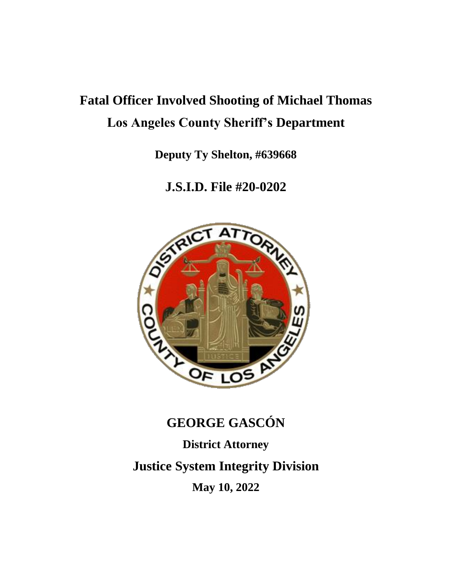# **Fatal Officer Involved Shooting of Michael Thomas Los Angeles County Sheriff's Department**

**Deputy Ty Shelton, #639668**

**J.S.I.D. File #20-0202**



## **GEORGE GASCÓN**

**District Attorney**

**Justice System Integrity Division**

**May 10, 2022**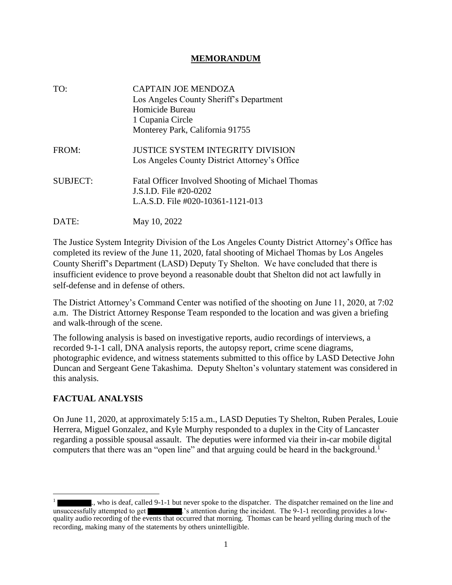## **MEMORANDUM**

| TO:             | <b>CAPTAIN JOE MENDOZA</b><br>Los Angeles County Sheriff's Department<br>Homicide Bureau<br>1 Cupania Circle<br>Monterey Park, California 91755 |
|-----------------|-------------------------------------------------------------------------------------------------------------------------------------------------|
| FROM:           | <b>JUSTICE SYSTEM INTEGRITY DIVISION</b><br>Los Angeles County District Attorney's Office                                                       |
| <b>SUBJECT:</b> | <b>Fatal Officer Involved Shooting of Michael Thomas</b><br>J.S.I.D. File #20-0202<br>L.A.S.D. File #020-10361-1121-013                         |
| DATE:           | May 10, 2022                                                                                                                                    |

The Justice System Integrity Division of the Los Angeles County District Attorney's Office has completed its review of the June 11, 2020, fatal shooting of Michael Thomas by Los Angeles County Sheriff's Department (LASD) Deputy Ty Shelton. We have concluded that there is insufficient evidence to prove beyond a reasonable doubt that Shelton did not act lawfully in self-defense and in defense of others.

The District Attorney's Command Center was notified of the shooting on June 11, 2020, at 7:02 a.m. The District Attorney Response Team responded to the location and was given a briefing and walk-through of the scene.

The following analysis is based on investigative reports, audio recordings of interviews, a recorded 9-1-1 call, DNA analysis reports, the autopsy report, crime scene diagrams, photographic evidence, and witness statements submitted to this office by LASD Detective John Duncan and Sergeant Gene Takashima. Deputy Shelton's voluntary statement was considered in this analysis.

## **FACTUAL ANALYSIS**

On June 11, 2020, at approximately 5:15 a.m., LASD Deputies Ty Shelton, Ruben Perales, Louie Herrera, Miguel Gonzalez, and Kyle Murphy responded to a duplex in the City of Lancaster regarding a possible spousal assault. The deputies were informed via their in-car mobile digital computers that there was an "open line" and that arguing could be heard in the background.<sup>1</sup>

<sup>1</sup> ., who is deaf, called 9-1-1 but never spoke to the dispatcher. The dispatcher remained on the line and unsuccessfully attempted to get ... 's attention during the incident. The 9-1-1 recording provides a lowquality audio recording of the events that occurred that morning. Thomas can be heard yelling during much of the recording, making many of the statements by others unintelligible.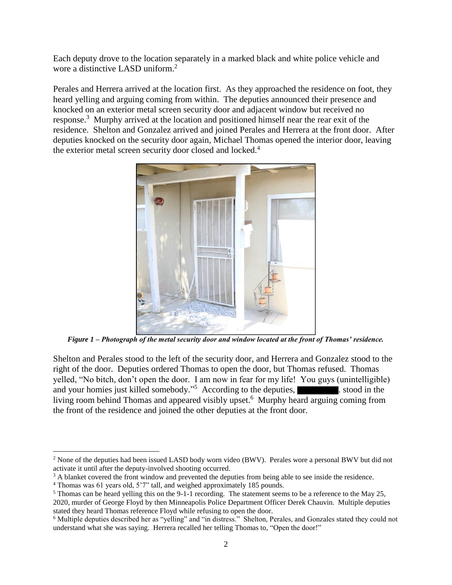Each deputy drove to the location separately in a marked black and white police vehicle and wore a distinctive LASD uniform.<sup>2</sup>

Perales and Herrera arrived at the location first. As they approached the residence on foot, they heard yelling and arguing coming from within. The deputies announced their presence and knocked on an exterior metal screen security door and adjacent window but received no response.<sup>3</sup> Murphy arrived at the location and positioned himself near the rear exit of the residence. Shelton and Gonzalez arrived and joined Perales and Herrera at the front door. After deputies knocked on the security door again, Michael Thomas opened the interior door, leaving the exterior metal screen security door closed and locked.<sup>4</sup>



*Figure 1 – Photograph of the metal security door and window located at the front of Thomas' residence.*

Shelton and Perales stood to the left of the security door, and Herrera and Gonzalez stood to the right of the door. Deputies ordered Thomas to open the door, but Thomas refused. Thomas yelled, "No bitch, don't open the door. I am now in fear for my life! You guys (unintelligible) and your homies just killed somebody."<sup>5</sup> According to the deputies, stood in the living room behind Thomas and appeared visibly upset.<sup>6</sup> Murphy heard arguing coming from the front of the residence and joined the other deputies at the front door.

<sup>2</sup> None of the deputies had been issued LASD body worn video (BWV). Perales wore a personal BWV but did not activate it until after the deputy-involved shooting occurred.

<sup>&</sup>lt;sup>3</sup> A blanket covered the front window and prevented the deputies from being able to see inside the residence.

<sup>4</sup> Thomas was 61 years old, 5'7" tall, and weighed approximately 185 pounds.

<sup>5</sup> Thomas can be heard yelling this on the 9-1-1 recording. The statement seems to be a reference to the May 25,

<sup>2020,</sup> murder of George Floyd by then Minneapolis Police Department Officer Derek Chauvin. Multiple deputies stated they heard Thomas reference Floyd while refusing to open the door.

<sup>6</sup> Multiple deputies described her as "yelling" and "in distress." Shelton, Perales, and Gonzales stated they could not understand what she was saying. Herrera recalled her telling Thomas to, "Open the door!"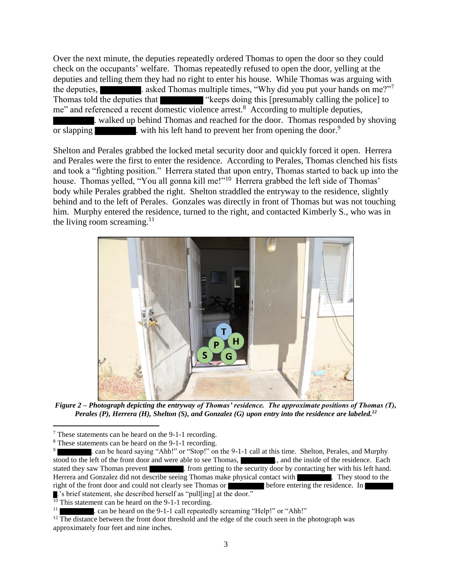Over the next minute, the deputies repeatedly ordered Thomas to open the door so they could check on the occupants' welfare. Thomas repeatedly refused to open the door, yelling at the deputies and telling them they had no right to enter his house. While Thomas was arguing with the deputies, **the deputies**. asked Thomas multiple times, "Why did you put your hands on me?"<sup>7</sup> Thomas told the deputies that "keeps doing this [presumably calling the police] to me" and referenced a recent domestic violence arrest.<sup>8</sup> According to multiple deputies, . walked up behind Thomas and reached for the door. Thomas responded by shoving or slapping  $\blacksquare$  with his left hand to prevent her from opening the door.<sup>9</sup>

Shelton and Perales grabbed the locked metal security door and quickly forced it open. Herrera and Perales were the first to enter the residence. According to Perales, Thomas clenched his fists and took a "fighting position." Herrera stated that upon entry, Thomas started to back up into the house. Thomas yelled, "You all gonna kill me!"<sup>10</sup> Herrera grabbed the left side of Thomas' body while Perales grabbed the right. Shelton straddled the entryway to the residence, slightly behind and to the left of Perales. Gonzales was directly in front of Thomas but was not touching him. Murphy entered the residence, turned to the right, and contacted Kimberly S., who was in the living room screaming. $11$ 



*Figure 2 – Photograph depicting the entryway of Thomas' residence. The approximate positions of Thomas (T), Perales (P), Herrera (H), Shelton (S), and Gonzalez (G) upon entry into the residence are labeled.<sup>12</sup>*

 $\frac{10}{10}$  This statement can be heard on the 9-1-1 recording.

<sup>7</sup> These statements can be heard on the 9-1-1 recording.

<sup>8</sup> These statements can be heard on the 9-1-1 recording.

<sup>9</sup> . can be heard saying "Ahh!" or "Stop!" on the 9-1-1 call at this time. Shelton, Perales, and Murphy stood to the left of the front door and were able to see Thomas, ..., and the inside of the residence. Each stated they saw Thomas prevent . from getting to the security door by contacting her with his left hand. Herrera and Gonzalez did not describe seeing Thomas make physical contact with . They stood to the right of the front door and could not clearly see Thomas or before entering the residence. In .'s brief statement, she described herself as "pull[ing] at the door."

<sup>11</sup> . can be heard on the 9-1-1 call repeatedly screaming "Help!" or "Ahh!"

 $12$  The distance between the front door threshold and the edge of the couch seen in the photograph was approximately four feet and nine inches.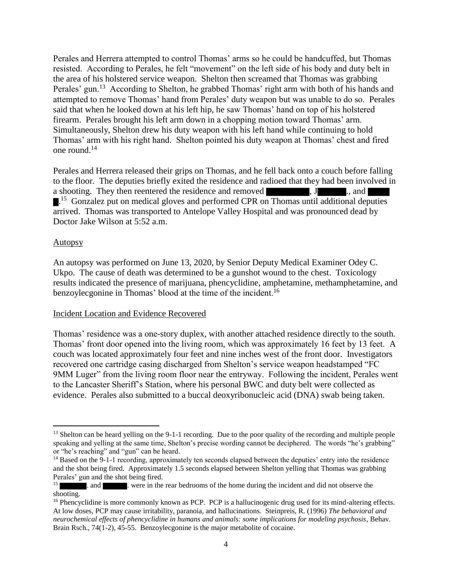Perales and Herrera attempted to control Thomas' arms so he could be handcuffed, but Thomas resisted. According to Perales, he felt "movement" on the left side of his body and duty belt in the area of his holstered service weapon. Shelton then screamed that Thomas was grabbing Perales' gun.<sup>13</sup> According to Shelton, he grabbed Thomas' right arm with both of his hands and attempted to remove Thomas' hand from Perales' duty weapon but was unable to do so. Perales said that when he looked down at his left hip, he saw Thomas' hand on top of his holstered firearm. Perales brought his left arm down in a chopping motion toward Thomas' arm. Simultaneously, Shelton drew his duty weapon with his left hand while continuing to hold Thomas' arm with his right hand. Shelton pointed his duty weapon at Thomas' chest and fired one round.<sup>14</sup>

Perales and Herrera released their grips on Thomas, and he fell back onto a couch before falling to the floor. The deputies briefly exited the residence and radioed that they had been involved in a shooting. They then reentered the residence and removed  $, J, J, \ldots$ , and <sup>15</sup> Gonzalez put on medical gloves and performed CPR on Thomas until additional deputies arrived. Thomas was transported to Antelope Valley Hospital and was pronounced dead by Doctor Jake Wilson at 5:52 a.m.

#### Autopsy

An autopsy was performed on June 13, 2020, by Senior Deputy Medical Examiner Odey C. Ukpo. The cause of death was determined to be a gunshot wound to the chest. Toxicology results indicated the presence of marijuana, phencyclidine, amphetamine, methamphetamine, and benzoylecgonine in Thomas' blood at the time of the incident.<sup>16</sup>

#### Incident Location and Evidence Recovered

Thomas' residence was a one-story duplex, with another attached residence directly to the south. Thomas' front door opened into the living room, which was approximately 16 feet by 13 feet. A couch was located approximately four feet and nine inches west of the front door. Investigators recovered one cartridge casing discharged from Shelton's service weapon headstamped "FC 9MM Luger" from the living room floor near the entryway. Following the incident, Perales went to the Lancaster Sheriff's Station, where his personal BWC and duty belt were collected as evidence. Perales also submitted to a buccal deoxyribonucleic acid (DNA) swab being taken.

<sup>&</sup>lt;sup>13</sup> Shelton can be heard yelling on the 9-1-1 recording. Due to the poor quality of the recording and multiple people speaking and yelling at the same time, Shelton's precise wording cannot be deciphered. The words "he's grabbing" or "he's reaching" and "gun" can be heard.

<sup>&</sup>lt;sup>14</sup> Based on the 9-1-1 recording, approximately ten seconds elapsed between the deputies' entry into the residence and the shot being fired. Approximately 1.5 seconds elapsed between Shelton yelling that Thomas was grabbing Perales' gun and the shot being fired.

<sup>15</sup> . and **.** were in the rear bedrooms of the home during the incident and did not observe the shooting.

<sup>&</sup>lt;sup>16</sup> Phencyclidine is more commonly known as PCP. PCP is a hallucinogenic drug used for its mind-altering effects. At low doses, PCP may cause irritability, paranoia, and hallucinations. Steinpreis, R. (1996) *The behavioral and neurochemical effects of phencyclidine in humans and animals: some implications for modeling psychosis*, Behav. Brain Rsch., 74(1-2), 45-55. Benzoylecgonine is the major metabolite of cocaine.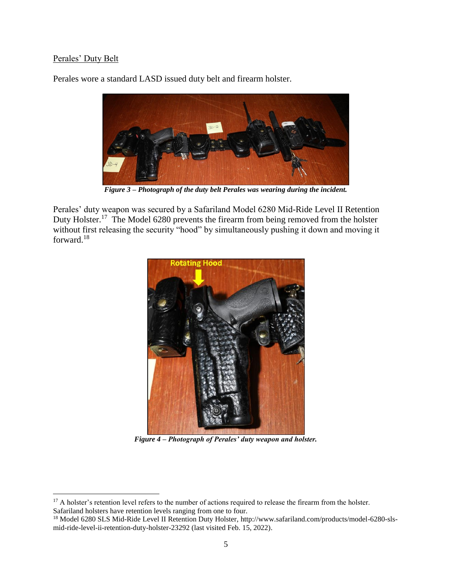## Perales' Duty Belt

Perales wore a standard LASD issued duty belt and firearm holster.



*Figure 3 – Photograph of the duty belt Perales was wearing during the incident.*

Perales' duty weapon was secured by a Safariland Model 6280 Mid-Ride Level II Retention Duty Holster.<sup>17</sup> The Model 6280 prevents the firearm from being removed from the holster without first releasing the security "hood" by simultaneously pushing it down and moving it forward.<sup>18</sup>



*Figure 4 – Photograph of Perales' duty weapon and holster.*

<sup>&</sup>lt;sup>17</sup> A holster's retention level refers to the number of actions required to release the firearm from the holster. Safariland holsters have retention levels ranging from one to four.

<sup>18</sup> Model 6280 SLS Mid-Ride Level II Retention Duty Holster, http://www.safariland.com/products/model-6280-slsmid-ride-level-ii-retention-duty-holster-23292 (last visited Feb. 15, 2022).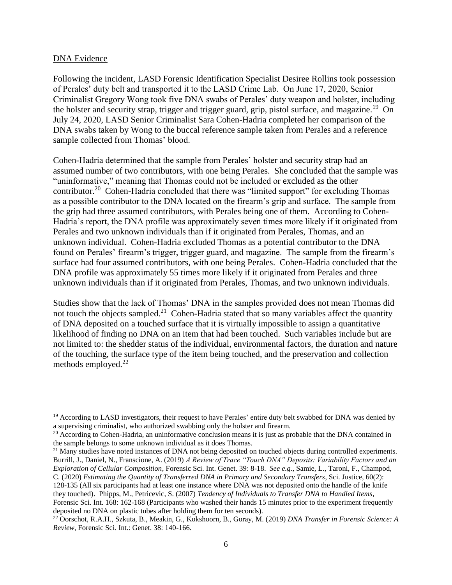#### DNA Evidence

Following the incident, LASD Forensic Identification Specialist Desiree Rollins took possession of Perales' duty belt and transported it to the LASD Crime Lab. On June 17, 2020, Senior Criminalist Gregory Wong took five DNA swabs of Perales' duty weapon and holster, including the holster and security strap, trigger and trigger guard, grip, pistol surface, and magazine.<sup>19</sup> On July 24, 2020, LASD Senior Criminalist Sara Cohen-Hadria completed her comparison of the DNA swabs taken by Wong to the buccal reference sample taken from Perales and a reference sample collected from Thomas' blood.

Cohen-Hadria determined that the sample from Perales' holster and security strap had an assumed number of two contributors, with one being Perales. She concluded that the sample was "uninformative," meaning that Thomas could not be included or excluded as the other contributor.<sup>20</sup> Cohen-Hadria concluded that there was "limited support" for excluding Thomas as a possible contributor to the DNA located on the firearm's grip and surface. The sample from the grip had three assumed contributors, with Perales being one of them. According to Cohen-Hadria's report, the DNA profile was approximately seven times more likely if it originated from Perales and two unknown individuals than if it originated from Perales, Thomas, and an unknown individual. Cohen-Hadria excluded Thomas as a potential contributor to the DNA found on Perales' firearm's trigger, trigger guard, and magazine. The sample from the firearm's surface had four assumed contributors, with one being Perales. Cohen-Hadria concluded that the DNA profile was approximately 55 times more likely if it originated from Perales and three unknown individuals than if it originated from Perales, Thomas, and two unknown individuals.

Studies show that the lack of Thomas' DNA in the samples provided does not mean Thomas did not touch the objects sampled. $2^1$  Cohen-Hadria stated that so many variables affect the quantity of DNA deposited on a touched surface that it is virtually impossible to assign a quantitative likelihood of finding no DNA on an item that had been touched. Such variables include but are not limited to: the shedder status of the individual, environmental factors, the duration and nature of the touching, the surface type of the item being touched, and the preservation and collection methods employed.<sup>22</sup>

<sup>21</sup> Many studies have noted instances of DNA not being deposited on touched objects during controlled experiments. Burrill, J., Daniel, N., Franscione, A. (2019) *A Review of Trace "Touch DNA" Deposits: Variability Factors and an Exploration of Cellular Composition*, Forensic Sci. Int. Genet. 39: 8-18. *See e.g.,* Samie, L., Taroni, F., Champod, C. (2020) *Estimating the Quantity of Transferred DNA in Primary and Secondary Transfers*, Sci. Justice, 60(2): 128-135 (All six participants had at least one instance where DNA was not deposited onto the handle of the knife

they touched). Phipps, M., Petricevic, S. (2007) *Tendency of Individuals to Transfer DNA to Handled Items*, Forensic Sci. Int. 168: 162-168 (Participants who washed their hands 15 minutes prior to the experiment frequently deposited no DNA on plastic tubes after holding them for ten seconds).

 $19$  According to LASD investigators, their request to have Perales' entire duty belt swabbed for DNA was denied by a supervising criminalist, who authorized swabbing only the holster and firearm.

 $20$  According to Cohen-Hadria, an uninformative conclusion means it is just as probable that the DNA contained in the sample belongs to some unknown individual as it does Thomas.

<sup>22</sup> Oorschot, R.A.H., Szkuta, B., Meakin, G., Kokshoorn, B., Goray, M. (2019) *DNA Transfer in Forensic Science: A Review*, Forensic Sci. Int.: Genet. 38: 140-166.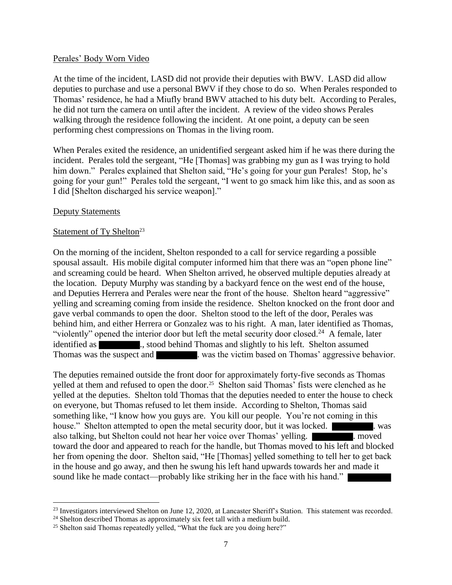#### Perales' Body Worn Video

At the time of the incident, LASD did not provide their deputies with BWV. LASD did allow deputies to purchase and use a personal BWV if they chose to do so. When Perales responded to Thomas' residence, he had a Miufly brand BWV attached to his duty belt. According to Perales, he did not turn the camera on until after the incident. A review of the video shows Perales walking through the residence following the incident. At one point, a deputy can be seen performing chest compressions on Thomas in the living room.

When Perales exited the residence, an unidentified sergeant asked him if he was there during the incident. Perales told the sergeant, "He [Thomas] was grabbing my gun as I was trying to hold him down." Perales explained that Shelton said, "He's going for your gun Perales! Stop, he's going for your gun!" Perales told the sergeant, "I went to go smack him like this, and as soon as I did [Shelton discharged his service weapon]."

#### Deputy Statements

#### Statement of Ty Shelton<sup>23</sup>

On the morning of the incident, Shelton responded to a call for service regarding a possible spousal assault. His mobile digital computer informed him that there was an "open phone line" and screaming could be heard. When Shelton arrived, he observed multiple deputies already at the location. Deputy Murphy was standing by a backyard fence on the west end of the house, and Deputies Herrera and Perales were near the front of the house. Shelton heard "aggressive" yelling and screaming coming from inside the residence. Shelton knocked on the front door and gave verbal commands to open the door. Shelton stood to the left of the door, Perales was behind him, and either Herrera or Gonzalez was to his right. A man, later identified as Thomas, "violently" opened the interior door but left the metal security door closed.<sup>24</sup> A female, later identified as ..., stood behind Thomas and slightly to his left. Shelton assumed Thomas was the suspect and . was the victim based on Thomas' aggressive behavior.

The deputies remained outside the front door for approximately forty-five seconds as Thomas yelled at them and refused to open the door.<sup>25</sup> Shelton said Thomas' fists were clenched as he yelled at the deputies. Shelton told Thomas that the deputies needed to enter the house to check on everyone, but Thomas refused to let them inside. According to Shelton, Thomas said something like, "I know how you guys are. You kill our people. You're not coming in this house." Shelton attempted to open the metal security door, but it was locked.  $\blacksquare$  was also talking, but Shelton could not hear her voice over Thomas' yelling. . moved toward the door and appeared to reach for the handle, but Thomas moved to his left and blocked her from opening the door. Shelton said, "He [Thomas] yelled something to tell her to get back in the house and go away, and then he swung his left hand upwards towards her and made it sound like he made contact—probably like striking her in the face with his hand."

<sup>&</sup>lt;sup>23</sup> Investigators interviewed Shelton on June 12, 2020, at Lancaster Sheriff's Station. This statement was recorded.

<sup>&</sup>lt;sup>24</sup> Shelton described Thomas as approximately six feet tall with a medium build.

<sup>&</sup>lt;sup>25</sup> Shelton said Thomas repeatedly yelled, "What the fuck are you doing here?"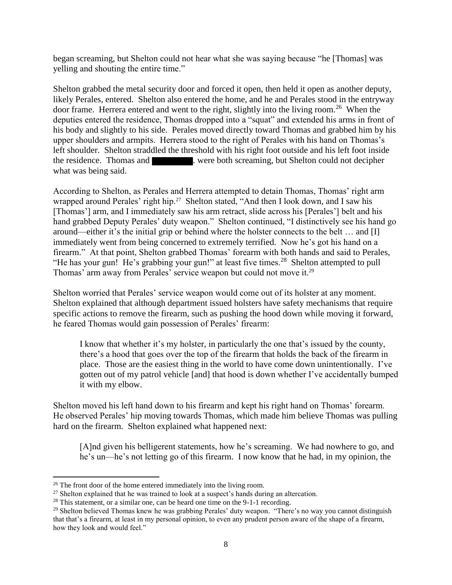began screaming, but Shelton could not hear what she was saying because "he [Thomas] was yelling and shouting the entire time."

Shelton grabbed the metal security door and forced it open, then held it open as another deputy, likely Perales, entered. Shelton also entered the home, and he and Perales stood in the entryway door frame. Herrera entered and went to the right, slightly into the living room.<sup>26</sup> When the deputies entered the residence, Thomas dropped into a "squat" and extended his arms in front of his body and slightly to his side. Perales moved directly toward Thomas and grabbed him by his upper shoulders and armpits. Herrera stood to the right of Perales with his hand on Thomas's left shoulder. Shelton straddled the threshold with his right foot outside and his left foot inside the residence. Thomas and . were both screaming, but Shelton could not decipher what was being said.

According to Shelton, as Perales and Herrera attempted to detain Thomas, Thomas' right arm wrapped around Perales' right hip.<sup>27</sup> Shelton stated, "And then I look down, and I saw his [Thomas'] arm, and I immediately saw his arm retract, slide across his [Perales'] belt and his hand grabbed Deputy Perales' duty weapon." Shelton continued, "I distinctively see his hand go around—either it's the initial grip or behind where the holster connects to the belt … and [I] immediately went from being concerned to extremely terrified. Now he's got his hand on a firearm." At that point, Shelton grabbed Thomas' forearm with both hands and said to Perales, "He has your gun! He's grabbing your gun!" at least five times.<sup>28</sup> Shelton attempted to pull Thomas' arm away from Perales' service weapon but could not move it.<sup>29</sup>

Shelton worried that Perales' service weapon would come out of its holster at any moment. Shelton explained that although department issued holsters have safety mechanisms that require specific actions to remove the firearm, such as pushing the hood down while moving it forward, he feared Thomas would gain possession of Perales' firearm:

I know that whether it's my holster, in particularly the one that's issued by the county, there's a hood that goes over the top of the firearm that holds the back of the firearm in place. Those are the easiest thing in the world to have come down unintentionally. I've gotten out of my patrol vehicle [and] that hood is down whether I've accidentally bumped it with my elbow.

Shelton moved his left hand down to his firearm and kept his right hand on Thomas' forearm. He observed Perales' hip moving towards Thomas, which made him believe Thomas was pulling hard on the firearm. Shelton explained what happened next:

[A]nd given his belligerent statements, how he's screaming. We had nowhere to go, and he's un—he's not letting go of this firearm. I now know that he had, in my opinion, the

 $26$  The front door of the home entered immediately into the living room.

 $27$  Shelton explained that he was trained to look at a suspect's hands during an altercation.

 $28$  This statement, or a similar one, can be heard one time on the 9-1-1 recording.

<sup>&</sup>lt;sup>29</sup> Shelton believed Thomas knew he was grabbing Perales' duty weapon. "There's no way you cannot distinguish that that's a firearm, at least in my personal opinion, to even any prudent person aware of the shape of a firearm, how they look and would feel."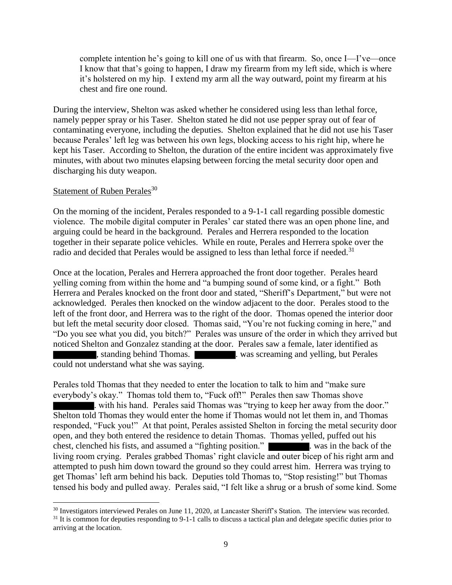complete intention he's going to kill one of us with that firearm. So, once I—I've—once I know that that's going to happen, I draw my firearm from my left side, which is where it's holstered on my hip. I extend my arm all the way outward, point my firearm at his chest and fire one round.

During the interview, Shelton was asked whether he considered using less than lethal force, namely pepper spray or his Taser. Shelton stated he did not use pepper spray out of fear of contaminating everyone, including the deputies. Shelton explained that he did not use his Taser because Perales' left leg was between his own legs, blocking access to his right hip, where he kept his Taser. According to Shelton, the duration of the entire incident was approximately five minutes, with about two minutes elapsing between forcing the metal security door open and discharging his duty weapon.

#### Statement of Ruben Perales<sup>30</sup>

On the morning of the incident, Perales responded to a 9-1-1 call regarding possible domestic violence. The mobile digital computer in Perales' car stated there was an open phone line, and arguing could be heard in the background. Perales and Herrera responded to the location together in their separate police vehicles. While en route, Perales and Herrera spoke over the radio and decided that Perales would be assigned to less than lethal force if needed.<sup>31</sup>

Once at the location, Perales and Herrera approached the front door together. Perales heard yelling coming from within the home and "a bumping sound of some kind, or a fight." Both Herrera and Perales knocked on the front door and stated, "Sheriff's Department," but were not acknowledged. Perales then knocked on the window adjacent to the door. Perales stood to the left of the front door, and Herrera was to the right of the door. Thomas opened the interior door but left the metal security door closed. Thomas said, "You're not fucking coming in here," and "Do you see what you did, you bitch?" Perales was unsure of the order in which they arrived but noticed Shelton and Gonzalez standing at the door. Perales saw a female, later identified as **k**, standing behind Thomas. **Example 2** was screaming and yelling, but Perales could not understand what she was saying.

Perales told Thomas that they needed to enter the location to talk to him and "make sure everybody's okay." Thomas told them to, "Fuck off!" Perales then saw Thomas shove . with his hand. Perales said Thomas was "trying to keep her away from the door." Shelton told Thomas they would enter the home if Thomas would not let them in, and Thomas responded, "Fuck you!" At that point, Perales assisted Shelton in forcing the metal security door open, and they both entered the residence to detain Thomas. Thomas yelled, puffed out his chest, clenched his fists, and assumed a "fighting position." . was in the back of the living room crying. Perales grabbed Thomas' right clavicle and outer bicep of his right arm and attempted to push him down toward the ground so they could arrest him. Herrera was trying to get Thomas' left arm behind his back. Deputies told Thomas to, "Stop resisting!" but Thomas tensed his body and pulled away. Perales said, "I felt like a shrug or a brush of some kind. Some

<sup>&</sup>lt;sup>30</sup> Investigators interviewed Perales on June 11, 2020, at Lancaster Sheriff's Station. The interview was recorded.

 $31$  It is common for deputies responding to 9-1-1 calls to discuss a tactical plan and delegate specific duties prior to arriving at the location.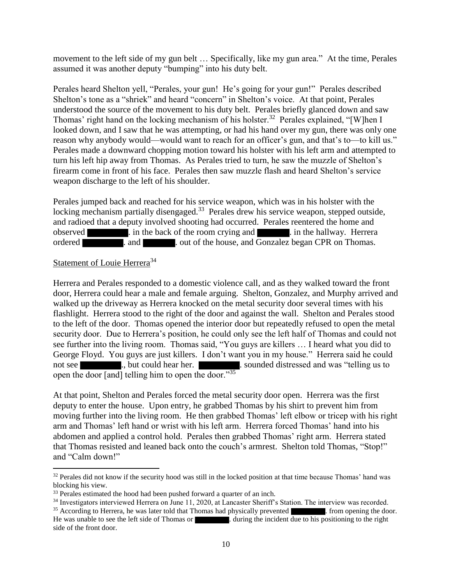movement to the left side of my gun belt … Specifically, like my gun area." At the time, Perales assumed it was another deputy "bumping" into his duty belt.

Perales heard Shelton yell, "Perales, your gun! He's going for your gun!" Perales described Shelton's tone as a "shriek" and heard "concern" in Shelton's voice. At that point, Perales understood the source of the movement to his duty belt. Perales briefly glanced down and saw Thomas' right hand on the locking mechanism of his holster.<sup>32</sup> Perales explained, "[W]hen I looked down, and I saw that he was attempting, or had his hand over my gun, there was only one reason why anybody would—would want to reach for an officer's gun, and that's to—to kill us." Perales made a downward chopping motion toward his holster with his left arm and attempted to turn his left hip away from Thomas. As Perales tried to turn, he saw the muzzle of Shelton's firearm come in front of his face. Perales then saw muzzle flash and heard Shelton's service weapon discharge to the left of his shoulder.

Perales jumped back and reached for his service weapon, which was in his holster with the locking mechanism partially disengaged.<sup>33</sup> Perales drew his service weapon, stepped outside, and radioed that a deputy involved shooting had occurred. Perales reentered the home and observed . in the back of the room crying and . in the hallway. Herrera ordered **.** and **.** . out of the house, and Gonzalez began CPR on Thomas.

#### Statement of Louie Herrera<sup>34</sup>

Herrera and Perales responded to a domestic violence call, and as they walked toward the front door, Herrera could hear a male and female arguing. Shelton, Gonzalez, and Murphy arrived and walked up the driveway as Herrera knocked on the metal security door several times with his flashlight. Herrera stood to the right of the door and against the wall. Shelton and Perales stood to the left of the door. Thomas opened the interior door but repeatedly refused to open the metal security door. Due to Herrera's position, he could only see the left half of Thomas and could not see further into the living room. Thomas said, "You guys are killers … I heard what you did to George Floyd. You guys are just killers. I don't want you in my house." Herrera said he could not see ..., but could hear her. ... sounded distressed and was "telling us to open the door [and] telling him to open the door."<sup>35</sup>

At that point, Shelton and Perales forced the metal security door open. Herrera was the first deputy to enter the house. Upon entry, he grabbed Thomas by his shirt to prevent him from moving further into the living room. He then grabbed Thomas' left elbow or tricep with his right arm and Thomas' left hand or wrist with his left arm. Herrera forced Thomas' hand into his abdomen and applied a control hold. Perales then grabbed Thomas' right arm. Herrera stated that Thomas resisted and leaned back onto the couch's armrest. Shelton told Thomas, "Stop!" and "Calm down!"

 $32$  Perales did not know if the security hood was still in the locked position at that time because Thomas' hand was blocking his view.

<sup>&</sup>lt;sup>33</sup> Perales estimated the hood had been pushed forward a quarter of an inch.

<sup>&</sup>lt;sup>34</sup> Investigators interviewed Herrera on June 11, 2020, at Lancaster Sheriff's Station. The interview was recorded.

<sup>&</sup>lt;sup>35</sup> According to Herrera, he was later told that Thomas had physically prevented . from opening the door. He was unable to see the left side of Thomas or . during the incident due to his positioning to the right side of the front door.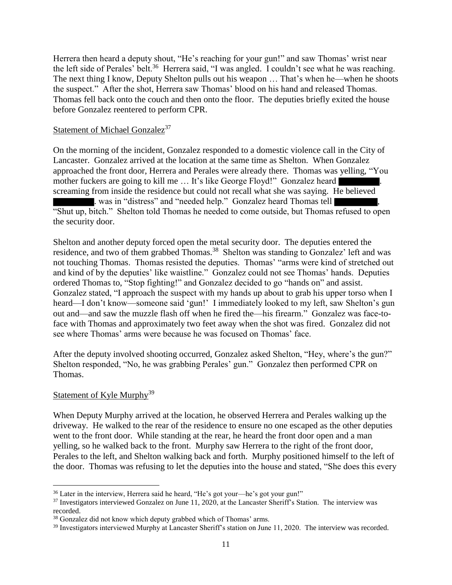Herrera then heard a deputy shout, "He's reaching for your gun!" and saw Thomas' wrist near the left side of Perales' belt.<sup>36</sup> Herrera said, "I was angled. I couldn't see what he was reaching. The next thing I know, Deputy Shelton pulls out his weapon … That's when he—when he shoots the suspect." After the shot, Herrera saw Thomas' blood on his hand and released Thomas. Thomas fell back onto the couch and then onto the floor. The deputies briefly exited the house before Gonzalez reentered to perform CPR.

#### Statement of Michael Gonzalez<sup>37</sup>

On the morning of the incident, Gonzalez responded to a domestic violence call in the City of Lancaster. Gonzalez arrived at the location at the same time as Shelton. When Gonzalez approached the front door, Herrera and Perales were already there. Thomas was yelling, "You mother fuckers are going to kill me ... It's like George Floyd!" Gonzalez heard screaming from inside the residence but could not recall what she was saying. He believed . was in "distress" and "needed help." Gonzalez heard Thomas tell "Shut up, bitch." Shelton told Thomas he needed to come outside, but Thomas refused to open the security door.

Shelton and another deputy forced open the metal security door. The deputies entered the residence, and two of them grabbed Thomas.<sup>38</sup> Shelton was standing to Gonzalez' left and was not touching Thomas. Thomas resisted the deputies. Thomas' "arms were kind of stretched out and kind of by the deputies' like waistline." Gonzalez could not see Thomas' hands. Deputies ordered Thomas to, "Stop fighting!" and Gonzalez decided to go "hands on" and assist. Gonzalez stated, "I approach the suspect with my hands up about to grab his upper torso when I heard—I don't know—someone said 'gun!' I immediately looked to my left, saw Shelton's gun out and—and saw the muzzle flash off when he fired the—his firearm." Gonzalez was face-toface with Thomas and approximately two feet away when the shot was fired. Gonzalez did not see where Thomas' arms were because he was focused on Thomas' face.

After the deputy involved shooting occurred, Gonzalez asked Shelton, "Hey, where's the gun?" Shelton responded, "No, he was grabbing Perales' gun." Gonzalez then performed CPR on Thomas.

## Statement of Kyle Murphy<sup>39</sup>

When Deputy Murphy arrived at the location, he observed Herrera and Perales walking up the driveway. He walked to the rear of the residence to ensure no one escaped as the other deputies went to the front door. While standing at the rear, he heard the front door open and a man yelling, so he walked back to the front. Murphy saw Herrera to the right of the front door, Perales to the left, and Shelton walking back and forth. Murphy positioned himself to the left of the door. Thomas was refusing to let the deputies into the house and stated, "She does this every

<sup>36</sup> Later in the interview, Herrera said he heard, "He's got your—he's got your gun!"

<sup>&</sup>lt;sup>37</sup> Investigators interviewed Gonzalez on June 11, 2020, at the Lancaster Sheriff's Station. The interview was recorded.

<sup>&</sup>lt;sup>38</sup> Gonzalez did not know which deputy grabbed which of Thomas' arms.

<sup>&</sup>lt;sup>39</sup> Investigators interviewed Murphy at Lancaster Sheriff's station on June 11, 2020. The interview was recorded.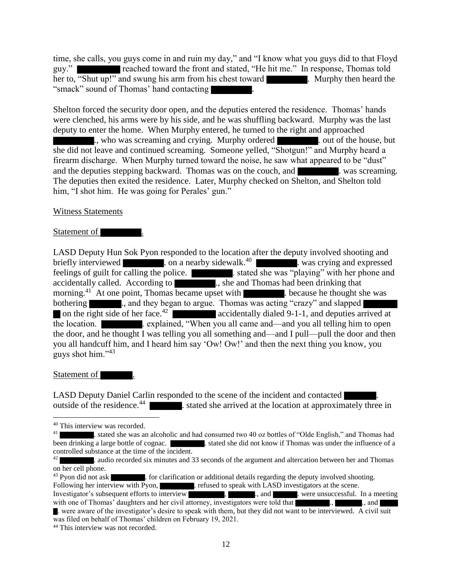time, she calls, you guys come in and ruin my day," and "I know what you guys did to that Floyd guy." reached toward the front and stated, "He hit me." In response, Thomas told her to, "Shut up!" and swung his arm from his chest toward . Murphy then heard the "smack" sound of Thomas' hand contacting .

Shelton forced the security door open, and the deputies entered the residence. Thomas' hands were clenched, his arms were by his side, and he was shuffling backward. Murphy was the last deputy to enter the home. When Murphy entered, he turned to the right and approached ., who was screaming and crying. Murphy ordered ... out of the house, but she did not leave and continued screaming. Someone yelled, "Shotgun!" and Murphy heard a firearm discharge. When Murphy turned toward the noise, he saw what appeared to be "dust" and the deputies stepping backward. Thomas was on the couch, and . was screaming. The deputies then exited the residence. Later, Murphy checked on Shelton, and Shelton told him, "I shot him. He was going for Perales' gun."

## Witness Statements

## Statement of  $\blacksquare$

LASD Deputy Hun Sok Pyon responded to the location after the deputy involved shooting and briefly interviewed **. On** a nearby sidewalk.<sup>40</sup> Number 2011. Was crying and expressed feelings of guilt for calling the police. . stated she was "playing" with her phone and accidentally called. According to ..., she and Thomas had been drinking that morning.<sup>41</sup> At one point, Thomas became upset with  $\blacksquare$  because he thought she was bothering ..., and they began to argue. Thomas was acting "crazy" and slapped on the right side of her face.<sup>42</sup> accidentally dialed 9-1-1, and deputies arrived at the location. **Explained, "When you all came and—and you all telling him to open** the door, and he thought I was telling you all something and—and I pull—pull the door and then you all handcuff him, and I heard him say 'Ow! Ow!' and then the next thing you know, you guys shot him."<sup>43</sup>

## Statement of

LASD Deputy Daniel Carlin responded to the scene of the incident and contacted outside of the residence.<sup>44</sup> **. stated she arrived at the location at approximately three in** 

<sup>40</sup> This interview was recorded.

<sup>41</sup> . stated she was an alcoholic and had consumed two 40 oz bottles of "Olde English," and Thomas had been drinking a large bottle of cognac.  $\blacksquare$  stated she did not know if Thomas was under the influence of a controlled substance at the time of the incident.

<sup>42</sup> . audio recorded six minutes and 33 seconds of the argument and altercation between her and Thomas on her cell phone.

 $^{43}$  Pyon did not ask  $\blacksquare$ . for clarification or additional details regarding the deputy involved shooting.

Following her interview with Pyon, . refused to speak with LASD investigators at the scene.

Investigator's subsequent efforts to interview , ..., and ..., and ... were unsuccessful. In a meeting with one of Thomas' daughters and her civil attorney, investigators were told that  $\blacksquare$ ,  $\blacksquare$ , and

<sup>.</sup> were aware of the investigator's desire to speak with them, but they did not want to be interviewed. A civil suit was filed on behalf of Thomas' children on February 19, 2021.

<sup>44</sup> This interview was not recorded.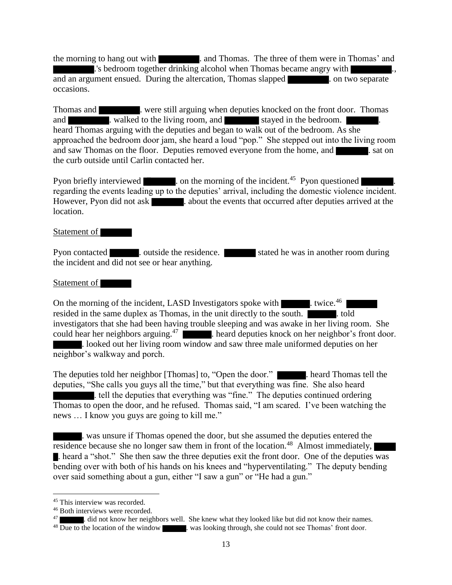the morning to hang out with . and Thomas. The three of them were in Thomas' and .'s bedroom together drinking alcohol when Thomas became angry with and an argument ensued. During the altercation, Thomas slapped **the contract of the state** . on two separate occasions.

Thomas and **Exercise 1.** were still arguing when deputies knocked on the front door. Thomas and **a** walked to the living room, and stayed in the bedroom. heard Thomas arguing with the deputies and began to walk out of the bedroom. As she approached the bedroom door jam, she heard a loud "pop." She stepped out into the living room and saw Thomas on the floor. Deputies removed everyone from the home, and **Exercise** sat on the curb outside until Carlin contacted her.

Pyon briefly interviewed **Exercise** . on the morning of the incident.<sup>45</sup> Pyon questioned regarding the events leading up to the deputies' arrival, including the domestic violence incident. However, Pyon did not ask . about the events that occurred after deputies arrived at the location.

#### Statement of

Pyon contacted **.** outside the residence. Stated he was in another room during the incident and did not see or hear anything.

#### Statement of

On the morning of the incident, LASD Investigators spoke with twice.<sup>46</sup> resided in the same duplex as Thomas, in the unit directly to the south. investigators that she had been having trouble sleeping and was awake in her living room. She could hear her neighbors arguing.<sup>47</sup> **. heard deputies knock on her neighbor's front door.** . looked out her living room window and saw three male uniformed deputies on her neighbor's walkway and porch.

The deputies told her neighbor [Thomas] to, "Open the door." . heard Thomas tell the deputies, "She calls you guys all the time," but that everything was fine. She also heard . tell the deputies that everything was "fine." The deputies continued ordering Thomas to open the door, and he refused. Thomas said, "I am scared. I've been watching the news … I know you guys are going to kill me."

. was unsure if Thomas opened the door, but she assumed the deputies entered the residence because she no longer saw them in front of the location.<sup>48</sup> Almost immediately, . heard a "shot." She then saw the three deputies exit the front door. One of the deputies was bending over with both of his hands on his knees and "hyperventilating." The deputy bending over said something about a gun, either "I saw a gun" or "He had a gun."

<sup>&</sup>lt;sup>45</sup> This interview was recorded.

<sup>46</sup> Both interviews were recorded.

<sup>47</sup> . did not know her neighbors well. She knew what they looked like but did not know their names.

<sup>&</sup>lt;sup>48</sup> Due to the location of the window . was looking through, she could not see Thomas' front door.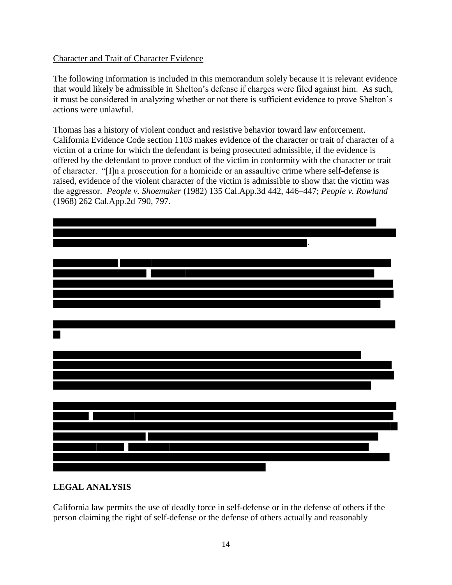## Character and Trait of Character Evidence

The following information is included in this memorandum solely because it is relevant evidence that would likely be admissible in Shelton's defense if charges were filed against him. As such, it must be considered in analyzing whether or not there is sufficient evidence to prove Shelton's actions were unlawful.

Thomas has a history of violent conduct and resistive behavior toward law enforcement. California Evidence Code section 1103 makes evidence of the character or trait of character of a victim of a crime for which the defendant is being prosecuted admissible, if the evidence is offered by the defendant to prove conduct of the victim in conformity with the character or trait of character. "[I]n a prosecution for a homicide or an assaultive crime where self-defense is raised, evidence of the violent character of the victim is admissible to show that the victim was the aggressor. *People v. Shoemaker* (1982) 135 Cal.App.3d 442, 446–447; *People v. Rowland* (1968) 262 Cal.App.2d 790, 797.



## **LEGAL ANALYSIS**

California law permits the use of deadly force in self-defense or in the defense of others if the person claiming the right of self-defense or the defense of others actually and reasonably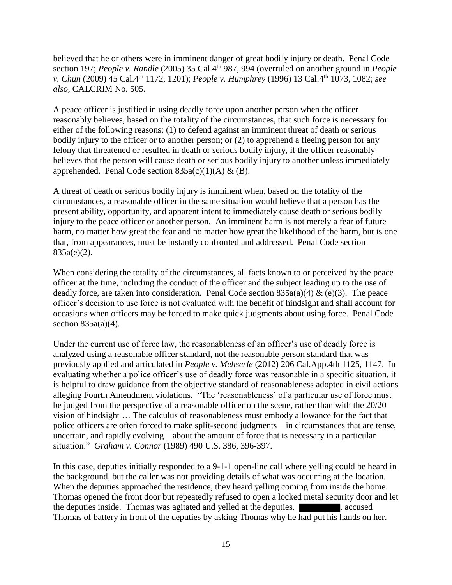believed that he or others were in imminent danger of great bodily injury or death. Penal Code section 197; *People v. Randle* (2005) 35 Cal.4th 987, 994 (overruled on another ground in *People v. Chun* (2009) 45 Cal.4th 1172, 1201); *People v. Humphrey* (1996) 13 Cal.4th 1073, 1082; *see also,* CALCRIM No. 505.

A peace officer is justified in using deadly force upon another person when the officer reasonably believes, based on the totality of the circumstances, that such force is necessary for either of the following reasons: (1) to defend against an imminent threat of death or serious bodily injury to the officer or to another person; or (2) to apprehend a fleeing person for any felony that threatened or resulted in death or serious bodily injury, if the officer reasonably believes that the person will cause death or serious bodily injury to another unless immediately apprehended. Penal Code section  $835a(c)(1)(A) \& (B)$ .

A threat of death or serious bodily injury is imminent when, based on the totality of the circumstances, a reasonable officer in the same situation would believe that a person has the present ability, opportunity, and apparent intent to immediately cause death or serious bodily injury to the peace officer or another person. An imminent harm is not merely a fear of future harm, no matter how great the fear and no matter how great the likelihood of the harm, but is one that, from appearances, must be instantly confronted and addressed. Penal Code section 835a(e)(2).

When considering the totality of the circumstances, all facts known to or perceived by the peace officer at the time, including the conduct of the officer and the subject leading up to the use of deadly force, are taken into consideration. Penal Code section  $835a(a)(4) \& (e)(3)$ . The peace officer's decision to use force is not evaluated with the benefit of hindsight and shall account for occasions when officers may be forced to make quick judgments about using force. Penal Code section  $835a(a)(4)$ .

Under the current use of force law, the reasonableness of an officer's use of deadly force is analyzed using a reasonable officer standard, not the reasonable person standard that was previously applied and articulated in *People v. Mehserle* (2012) 206 Cal.App.4th 1125, 1147. In evaluating whether a police officer's use of deadly force was reasonable in a specific situation, it is helpful to draw guidance from the objective standard of reasonableness adopted in civil actions alleging Fourth Amendment violations. "The 'reasonableness' of a particular use of force must be judged from the perspective of a reasonable officer on the scene, rather than with the 20/20 vision of hindsight … The calculus of reasonableness must embody allowance for the fact that police officers are often forced to make split-second judgments—in circumstances that are tense, uncertain, and rapidly evolving—about the amount of force that is necessary in a particular situation." *Graham v. Connor* (1989) 490 U.S. 386, 396-397.

In this case, deputies initially responded to a 9-1-1 open-line call where yelling could be heard in the background, but the caller was not providing details of what was occurring at the location. When the deputies approached the residence, they heard yelling coming from inside the home. Thomas opened the front door but repeatedly refused to open a locked metal security door and let the deputies inside. Thomas was agitated and yelled at the deputies. . accused Thomas of battery in front of the deputies by asking Thomas why he had put his hands on her.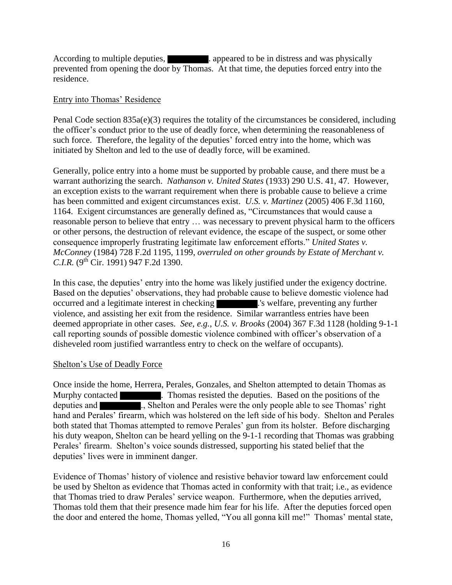According to multiple deputies, **a** appeared to be in distress and was physically prevented from opening the door by Thomas. At that time, the deputies forced entry into the residence.

## Entry into Thomas' Residence

Penal Code section 835a(e)(3) requires the totality of the circumstances be considered, including the officer's conduct prior to the use of deadly force, when determining the reasonableness of such force. Therefore, the legality of the deputies' forced entry into the home, which was initiated by Shelton and led to the use of deadly force, will be examined.

Generally, police entry into a home must be supported by probable cause, and there must be a warrant authorizing the search. *Nathanson v. United States* (1933) 290 U.S. 41, 47. However, an exception exists to the warrant requirement when there is probable cause to believe a crime has been committed and exigent circumstances exist. *U.S. v. Martinez* (2005) 406 F.3d 1160, 1164. Exigent circumstances are generally defined as, "Circumstances that would cause a reasonable person to believe that entry … was necessary to prevent physical harm to the officers or other persons, the destruction of relevant evidence, the escape of the suspect, or some other consequence improperly frustrating legitimate law enforcement efforts." *United States v. McConney* (1984) 728 F.2d 1195, 1199, *overruled on other grounds by Estate of Merchant v. C.I.R.* (9<sup>th</sup> Cir. 1991) 947 F.2d 1390.

In this case, the deputies' entry into the home was likely justified under the exigency doctrine. Based on the deputies' observations, they had probable cause to believe domestic violence had occurred and a legitimate interest in checking .'s welfare, preventing any further violence, and assisting her exit from the residence. Similar warrantless entries have been deemed appropriate in other cases. *See, e.g.*, *U.S. v. Brooks* (2004) 367 F.3d 1128 (holding 9-1-1 call reporting sounds of possible domestic violence combined with officer's observation of a disheveled room justified warrantless entry to check on the welfare of occupants).

## Shelton's Use of Deadly Force

Once inside the home, Herrera, Perales, Gonzales, and Shelton attempted to detain Thomas as Murphy contacted **Example 2.** Thomas resisted the deputies. Based on the positions of the deputies and **EXECUTE:** ., Shelton and Perales were the only people able to see Thomas' right hand and Perales' firearm, which was holstered on the left side of his body. Shelton and Perales both stated that Thomas attempted to remove Perales' gun from its holster. Before discharging his duty weapon, Shelton can be heard yelling on the 9-1-1 recording that Thomas was grabbing Perales' firearm. Shelton's voice sounds distressed, supporting his stated belief that the deputies' lives were in imminent danger.

Evidence of Thomas' history of violence and resistive behavior toward law enforcement could be used by Shelton as evidence that Thomas acted in conformity with that trait; i.e., as evidence that Thomas tried to draw Perales' service weapon. Furthermore, when the deputies arrived, Thomas told them that their presence made him fear for his life. After the deputies forced open the door and entered the home, Thomas yelled, "You all gonna kill me!" Thomas' mental state,